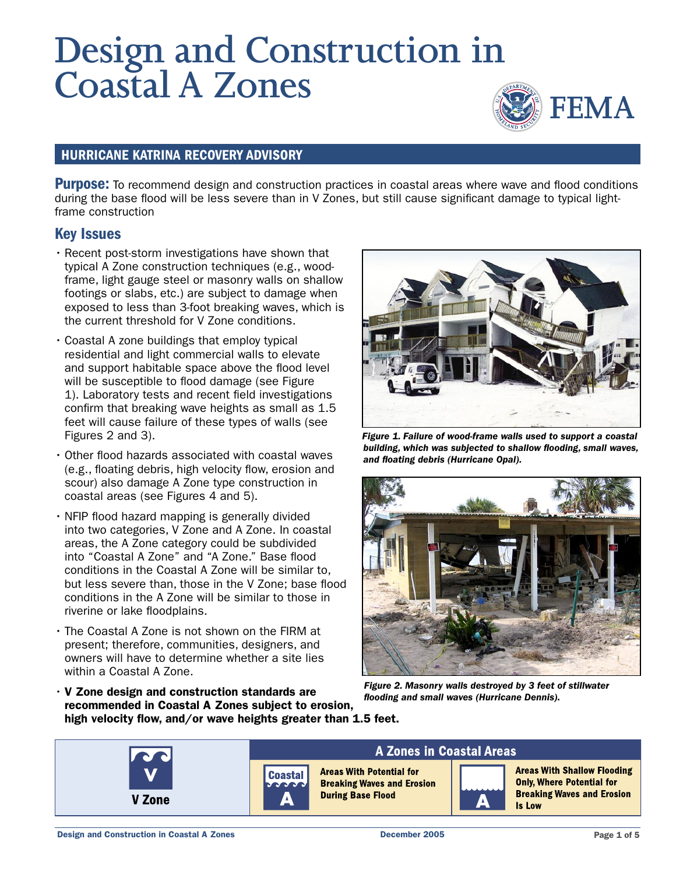# **Design and Construction in Coastal A Zones**



#### HURRICANE KATRINA RECOVERY ADVISORY

**Purpose:** To recommend design and construction practices in coastal areas where wave and flood conditions during the base flood will be less severe than in V Zones, but still cause significant damage to typical lightframe construction

#### Key Issues

- Recent post-storm investigations have shown that typical A Zone construction techniques (e.g., woodframe, light gauge steel or masonry walls on shallow footings or slabs, etc.) are subject to damage when exposed to less than 3-foot breaking waves, which is the current threshold for V Zone conditions.
- Coastal A zone buildings that employ typical residential and light commercial walls to elevate and support habitable space above the flood level will be susceptible to flood damage (see Figure 1). Laboratory tests and recent field investigations confirm that breaking wave heights as small as 1.5 feet will cause failure of these types of walls (see Figures 2 and 3).
- Other flood hazards associated with coastal waves (e.g., floating debris, high velocity flow, erosion and scour) also damage A Zone type construction in coastal areas (see Figures 4 and 5).
- NFIP flood hazard mapping is generally divided into two categories, V Zone and A Zone. In coastal areas, the A Zone category could be subdivided into "Coastal A Zone" and "A Zone." Base flood conditions in the Coastal A Zone will be similar to, but less severe than, those in the V Zone; base flood conditions in the A Zone will be similar to those in riverine or lake floodplains.
- The Coastal A Zone is not shown on the FIRM at present; therefore, communities, designers, and owners will have to determine whether a site lies within a Coastal A Zone.



Figure 1. Failure of wood-frame walls used to support a coastal building, which was subjected to shallow flooding, small waves, and floating debris (Hurricane Opal).



Figure 2. Masonry walls destroyed by 3 feet of stillwater flooding and small waves (Hurricane Dennis).

• V Zone design and construction standards are recommended in Coastal A Zones subject to erosion, high velocity flow, and/or wave heights greater than 1.5 feet.

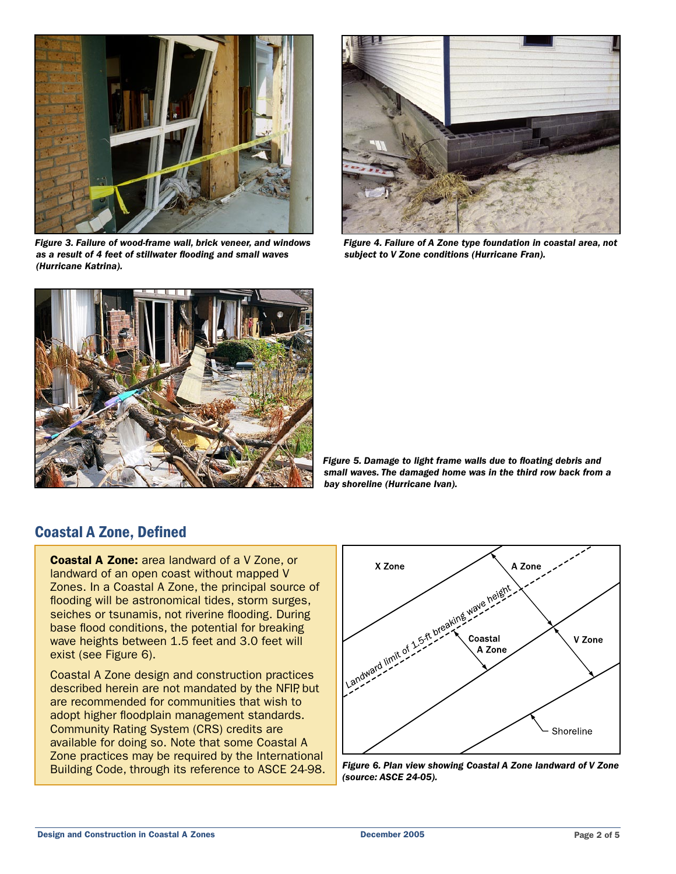

Figure 3. Failure of wood-frame wall, brick veneer, and windows as a result of 4 feet of stillwater flooding and small waves (Hurricane Katrina).



Figure 4. Failure of A Zone type foundation in coastal area, not subject to V Zone conditions (Hurricane Fran).



Figure 5. Damage to light frame walls due to floating debris and small waves. The damaged home was in the third row back from a bay shoreline (Hurricane Ivan).

## Coastal A Zone, Defined

Coastal A Zone: area landward of a V Zone, or landward of an open coast without mapped V Zones. In a Coastal A Zone, the principal source of flooding will be astronomical tides, storm surges, seiches or tsunamis, not riverine flooding. During base flood conditions, the potential for breaking wave heights between 1.5 feet and 3.0 feet will exist (see Figure 6).

Coastal A Zone design and construction practices described herein are not mandated by the NFIP, but are recommended for communities that wish to adopt higher floodplain management standards. Community Rating System (CRS) credits are available for doing so. Note that some Coastal A Zone practices may be required by the International



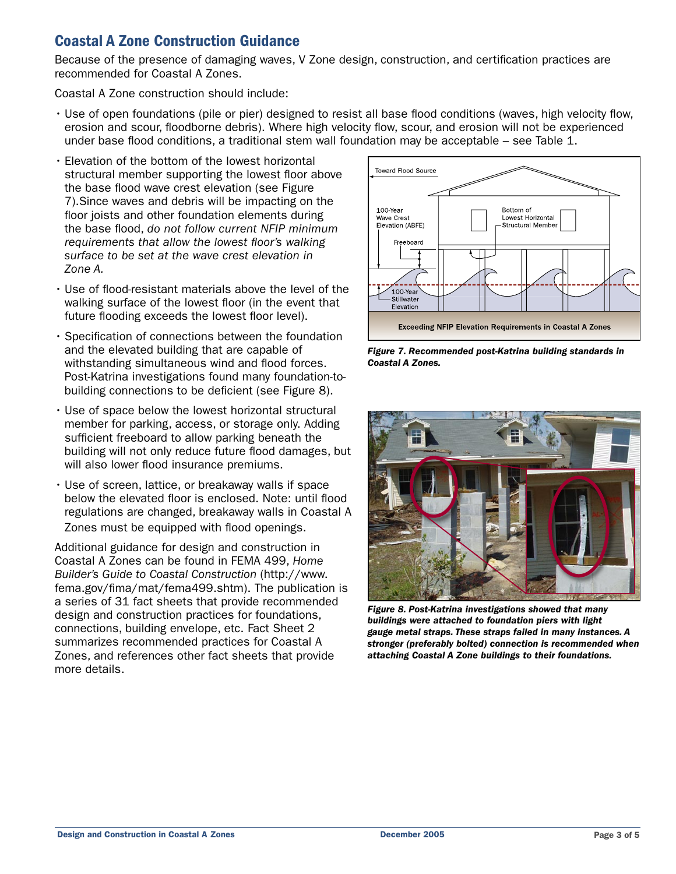## Coastal A Zone Construction Guidance

Because of the presence of damaging waves, V Zone design, construction, and certification practices are recommended for Coastal A Zones.

Coastal A Zone construction should include:

- Use of open foundations (pile or pier) designed to resist all base flood conditions (waves, high velocity flow, erosion and scour, floodborne debris). Where high velocity flow, scour, and erosion will not be experienced under base flood conditions, a traditional stem wall foundation may be acceptable – see Table 1.
- Elevation of the bottom of the lowest horizontal structural member supporting the lowest floor above the base flood wave crest elevation (see Figure 7).Since waves and debris will be impacting on the floor joists and other foundation elements during the base flood, do not follow current NFIP minimum requirements that allow the lowest floor's walking surface to be set at the wave crest elevation in Zone A.
- Use of flood-resistant materials above the level of the walking surface of the lowest floor (in the event that future flooding exceeds the lowest floor level).
- Specification of connections between the foundation and the elevated building that are capable of withstanding simultaneous wind and flood forces. Post-Katrina investigations found many foundation-tobuilding connections to be deficient (see Figure 8).
- Use of space below the lowest horizontal structural member for parking, access, or storage only. Adding sufficient freeboard to allow parking beneath the building will not only reduce future flood damages, but will also lower flood insurance premiums.
- Use of screen, lattice, or breakaway walls if space below the elevated floor is enclosed. Note: until flood regulations are changed, breakaway walls in Coastal A Zones must be equipped with flood openings.

Additional guidance for design and construction in Coastal A Zones can be found in FEMA 499, Home Builder's Guide to Coastal Construction (http://www. fema.gov/fima/mat/fema499.shtm). The publication is a series of 31 fact sheets that provide recommended design and construction practices for foundations, connections, building envelope, etc. Fact Sheet 2 summarizes recommended practices for Coastal A Zones, and references other fact sheets that provide more details.



Figure 7. Recommended post-Katrina building standards in Coastal A Zones.



Figure 8. Post-Katrina investigations showed that many buildings were attached to foundation piers with light gauge metal straps. These straps failed in many instances. A stronger (preferably bolted) connection is recommended when attaching Coastal A Zone buildings to their foundations.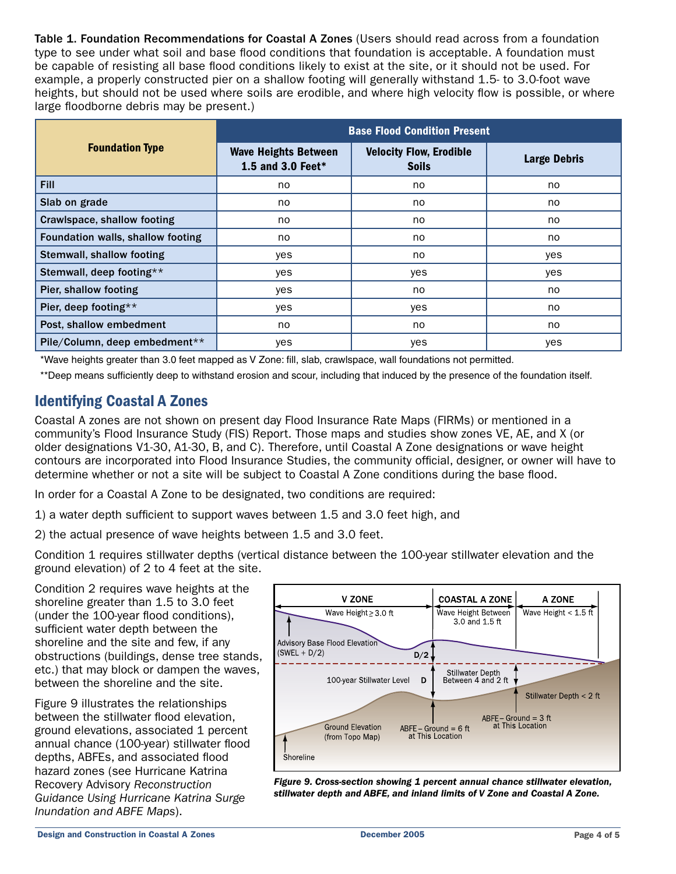Table 1. Foundation Recommendations for Coastal A Zones (Users should read across from a foundation type to see under what soil and base flood conditions that foundation is acceptable. A foundation must be capable of resisting all base flood conditions likely to exist at the site, or it should not be used. For example, a properly constructed pier on a shallow footing will generally withstand 1.5- to 3.0-foot wave heights, but should not be used where soils are erodible, and where high velocity flow is possible, or where large floodborne debris may be present.)

|                                   | <b>Base Flood Condition Present</b>              |                                                |                     |  |
|-----------------------------------|--------------------------------------------------|------------------------------------------------|---------------------|--|
| <b>Foundation Type</b>            | <b>Wave Heights Between</b><br>1.5 and 3.0 Feet* | <b>Velocity Flow, Erodible</b><br><b>Soils</b> | <b>Large Debris</b> |  |
| <b>Fill</b>                       | no                                               | no                                             | no.                 |  |
| Slab on grade                     | no.                                              | no                                             | no                  |  |
| Crawlspace, shallow footing       | no.                                              | no                                             | no.                 |  |
| Foundation walls, shallow footing | no                                               | no                                             | no                  |  |
| <b>Stemwall, shallow footing</b>  | yes                                              | no                                             | yes                 |  |
| Stemwall, deep footing**          | yes                                              | yes                                            | yes                 |  |
| Pier, shallow footing             | yes                                              | no                                             | no                  |  |
| Pier, deep footing**              | yes                                              | yes                                            | no                  |  |
| Post, shallow embedment           | no.                                              | no.                                            | no.                 |  |
| Pile/Column, deep embedment**     | yes                                              | yes                                            | yes                 |  |

\*Wave heights greater than 3.0 feet mapped as V Zone: fill, slab, crawlspace, wall foundations not permitted.

\*\*Deep means sufficiently deep to withstand erosion and scour, including that induced by the presence of the foundation itself.

### Identifying Coastal A Zones

Coastal A zones are not shown on present day Flood Insurance Rate Maps (FIRMs) or mentioned in a community's Flood Insurance Study (FIS) Report. Those maps and studies show zones VE, AE, and X (or older designations V1-30, A1-30, B, and C). Therefore, until Coastal A Zone designations or wave height contours are incorporated into Flood Insurance Studies, the community official, designer, or owner will have to determine whether or not a site will be subject to Coastal A Zone conditions during the base flood.

In order for a Coastal A Zone to be designated, two conditions are required:

1) a water depth sufficient to support waves between 1.5 and 3.0 feet high, and

2) the actual presence of wave heights between 1.5 and 3.0 feet.

Condition 1 requires stillwater depths (vertical distance between the 100-year stillwater elevation and the ground elevation) of 2 to 4 feet at the site.

Condition 2 requires wave heights at the shoreline greater than 1.5 to 3.0 feet (under the 100-year flood conditions), sufficient water depth between the shoreline and the site and few, if any obstructions (buildings, dense tree stands, etc.) that may block or dampen the waves, between the shoreline and the site.

Figure 9 illustrates the relationships between the stillwater flood elevation, ground elevations, associated 1 percent annual chance (100-year) stillwater flood depths, ABFEs, and associated flood hazard zones (see Hurricane Katrina Recovery Advisory Reconstruction Guidance Using Hurricane Katrina Surge Inundation and ABFE Maps).



Figure 9. Cross-section showing 1 percent annual chance stillwater elevation, stillwater depth and ABFE, and inland limits of V Zone and Coastal A Zone.